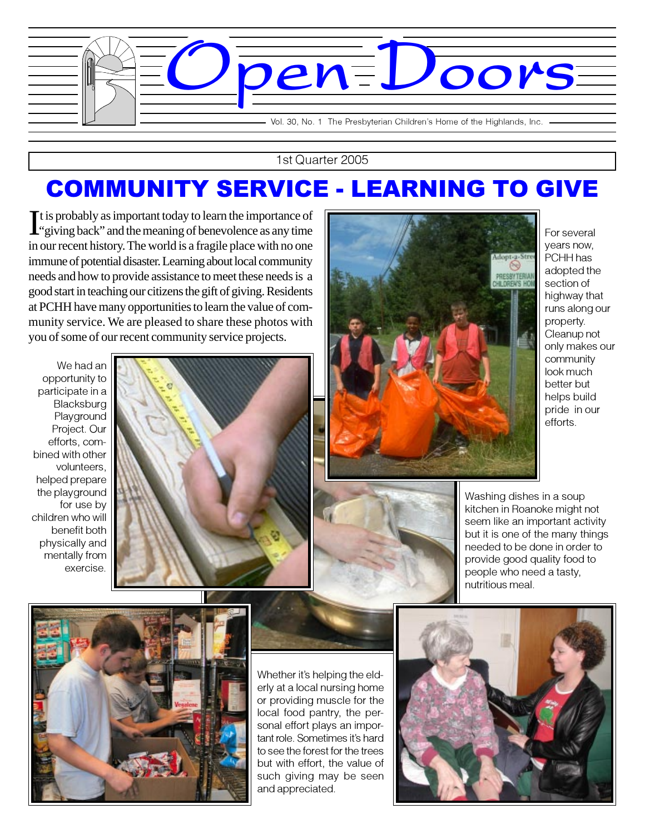

1st Quarter 2005

## COMMUNITY SERVICE - LEARNING TO GIVE

It is probably as important today to learn the importance of "giving back" and the meaning of benevolence as any time "giving back" and the meaning of benevolence as any time in our recent history. The world is a fragile place with no one immune of potential disaster. Learning about local community needs and how to provide assistance to meet these needs is a good start in teaching our citizens the gift of giving. Residents at PCHH have many opportunities to learn the value of community service. We are pleased to share these photos with you of some of our recent community service projects.

We had an opportunity to participate in a **Blacksburg** Playground Project. Our efforts, combined with other volunteers, helped prepare the playground for use by children who will benefit both physically and mentally from exercise.





For several years now, PCHH has adopted the section of highway that runs along our property. Cleanup not only makes our community look much better but helps build pride in our efforts.



Washing dishes in a soup kitchen in Roanoke might not seem like an important activity but it is one of the many things needed to be done in order to provide good quality food to people who need a tasty, nutritious meal.



Whether it's helping the elderly at a local nursing home or providing muscle for the local food pantry, the personal effort plays an important role. Sometimes it's hard to see the forest for the trees but with effort, the value of such giving may be seen and appreciated.

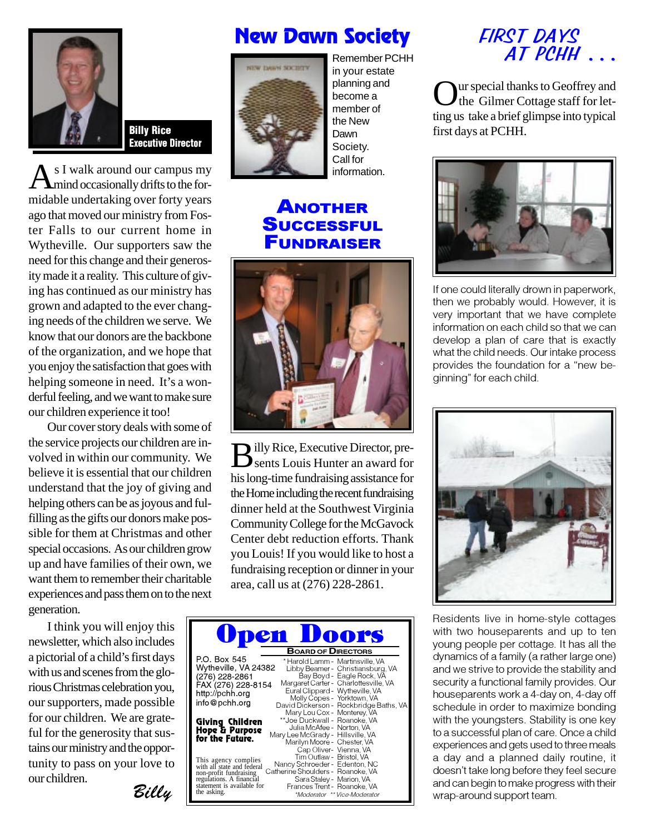

Billy Rice Executive Director

s I walk around our campus my mind occasionally drifts to the formidable undertaking over forty years ago that moved our ministry from Foster Falls to our current home in Wytheville. Our supporters saw the need for this change and their generosity made it a reality. This culture of giving has continued as our ministry has grown and adapted to the ever changing needs of the children we serve. We know that our donors are the backbone of the organization, and we hope that you enjoy the satisfaction that goes with helping someone in need. It's a wonderful feeling, and we want to make sure our children experience it too!

Our cover story deals with some of the service projects our children are involved in within our community. We believe it is essential that our children understand that the joy of giving and helping others can be as joyous and fulfilling as the gifts our donors make possible for them at Christmas and other special occasions. As our children grow up and have families of their own, we want them to remember their charitable experiences and pass them on to the next generation.

I think you will enjoy this newsletter, which also includes a pictorial of a child's first days with us and scenes from the glorious Christmas celebration you, our supporters, made possible for our children. We are grateful for the generosity that sustains our ministry and the opportunity to pass on your love to our children.

Billy

## New Dawn Society



in your estate planning and become a member of the New Dawn Society. Call for information.

## ANOTHER **SUCCESSFUL** FUNDRAISER



Billy Rice, Executive Director, pre-sents Louis Hunter an award for his long-time fundraising assistance for the Home including the recent fundraising dinner held at the Southwest Virginia Community College for the McGavock Center debt reduction efforts. Thank you Louis! If you would like to host a fundraising reception or dinner in your area, call us at (276) 228-2861.

| pen Doors                                                                                                                                                                                                                                                                                                                                                                    |  |
|------------------------------------------------------------------------------------------------------------------------------------------------------------------------------------------------------------------------------------------------------------------------------------------------------------------------------------------------------------------------------|--|
| <b>BOARD OF DIRECTORS</b><br>P.O. Box 545<br>* Harold Lamm - Martinsville, VA                                                                                                                                                                                                                                                                                                |  |
| Wytheville, VA 24382<br>Libby Beamer - Christiansburg, VA<br>Bay Boyd - Eagle Rock, VA<br>(276) 228-2861                                                                                                                                                                                                                                                                     |  |
| Margaret Carter - Charlottesville, VA<br>FAX (276) 228-8154<br>Eural Clippard - Wytheville, VA<br>http://pchh.org<br>Molly Copes - Yorktown, VA<br>info@pchh.org                                                                                                                                                                                                             |  |
| David Dickerson - Rockbridge Baths, VA<br>Mary Lou Cox - Monterey, VA<br>**Joe Duckwall - Roanoke, VA<br>Giving Children                                                                                                                                                                                                                                                     |  |
| Julia McAfee - Norton, VA<br>Hope & Parpose<br>Mary Lee McGrady - Hillsville, VA<br>for the Fatare.<br>Marilyn Moore - Chester, VA                                                                                                                                                                                                                                           |  |
| Cap Oliver- Vienna, VA<br>Tim Outlaw - Bristol, VA<br>This agency complies<br>with all state and federal<br>Nancy Schroeder - Edenton, NC<br>Catherine Shoulders - Roanoke, VA<br>non-profit fundraising<br>Sara Staley - Marion, VA<br>regulations. A financial<br>statement is available for<br>Frances Trent - Roanoke, VA<br>the asking.<br>*Moderator ** Vice-Moderator |  |

 FIRST DAYS Remember PCHH  $AT$  PCHH ...

> Our special thanks to Geoffrey and the Gilmer Cottage staff for letting us take a brief glimpse into typical first days at PCHH.



If one could literally drown in paperwork, then we probably would. However, it is very important that we have complete information on each child so that we can develop a plan of care that is exactly what the child needs. Our intake process provides the foundation for a "new beginning" for each child.



Residents live in home-style cottages with two houseparents and up to ten young people per cottage. It has all the dynamics of a family (a rather large one) and we strive to provide the stability and security a functional family provides. Our houseparents work a 4-day on, 4-day off schedule in order to maximize bonding with the youngsters. Stability is one key to a successful plan of care. Once a child experiences and gets used to three meals a day and a planned daily routine, it doesn't take long before they feel secure and can begin to make progress with their wrap-around support team.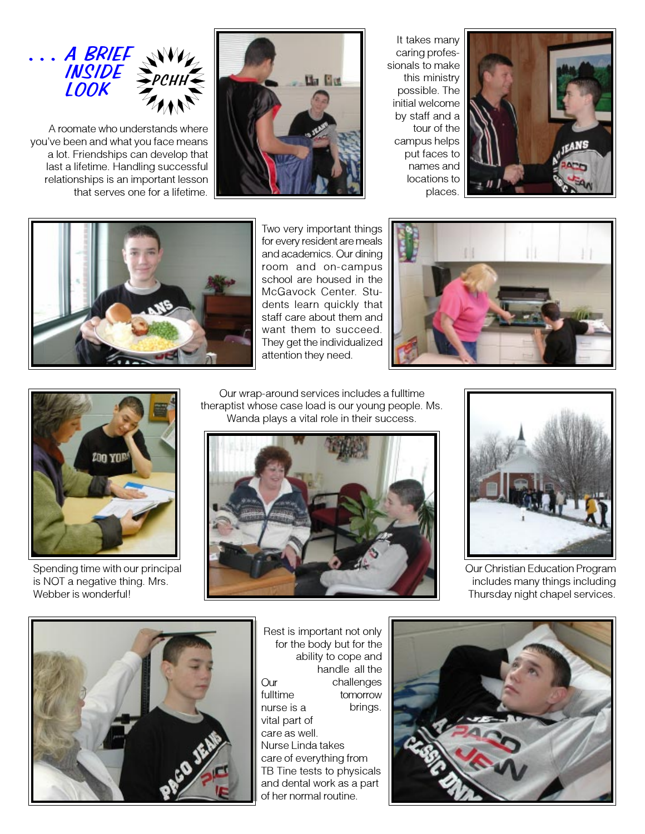

A roomate who understands where you've been and what you face means a lot. Friendships can develop that last a lifetime. Handling successful relationships is an important lesson that serves one for a lifetime.



It takes many caring professionals to make this ministry possible. The initial welcome by staff and a tour of the campus helps put faces to names and locations to places.





Two very important things for every resident are meals and academics. Our dining room and on-campus school are housed in the McGavock Center. Students learn quickly that staff care about them and want them to succeed. They get the individualized attention they need.





Spending time with our principal is NOT a negative thing. Mrs. Webber is wonderful!

Our wrap-around services includes a fulltime theraptist whose case load is our young people. Ms. Wanda plays a vital role in their success.





Our Christian Education Program includes many things including Thursday night chapel services.



**Our** fulltime nurse is a vital part of care as well. Nurse Linda takes care of everything from TB Tine tests to physicals and dental work as a part of her normal routine. Rest is important not only for the body but for the ability to cope and handle all the challenges tomorrow brings.